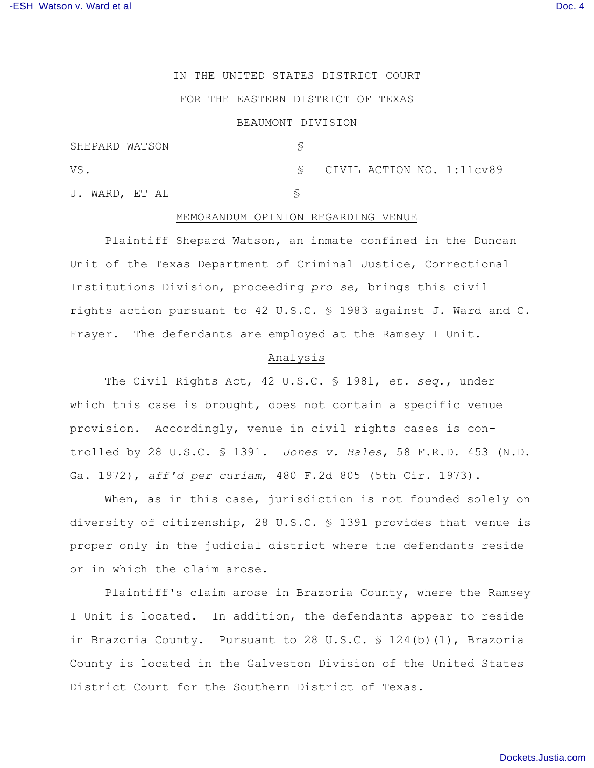## IN THE UNITED STATES DISTRICT COURT

# FOR THE EASTERN DISTRICT OF TEXAS

### BEAUMONT DIVISION

| SHEPARD WATSON |  |  |                                          |
|----------------|--|--|------------------------------------------|
| VS.            |  |  | $\S$ CIVIL ACTION NO. 1:11 $\text{cv}89$ |
| J. WARD, ET AL |  |  |                                          |

#### MEMORANDUM OPINION REGARDING VENUE

Plaintiff Shepard Watson, an inmate confined in the Duncan Unit of the Texas Department of Criminal Justice, Correctional Institutions Division, proceeding *pro se*, brings this civil rights action pursuant to 42 U.S.C. § 1983 against J. Ward and C. Frayer. The defendants are employed at the Ramsey I Unit.

### Analysis

The Civil Rights Act, 42 U.S.C. § 1981, *et. seq.*, under which this case is brought, does not contain a specific venue provision. Accordingly, venue in civil rights cases is controlled by 28 U.S.C. § 1391. *Jones v. Bales*, 58 F.R.D. 453 (N.D. Ga. 1972), *aff'd per curiam*, 480 F.2d 805 (5th Cir. 1973).

When, as in this case, jurisdiction is not founded solely on diversity of citizenship, 28 U.S.C. § 1391 provides that venue is proper only in the judicial district where the defendants reside or in which the claim arose.

Plaintiff's claim arose in Brazoria County, where the Ramsey I Unit is located. In addition, the defendants appear to reside in Brazoria County. Pursuant to 28 U.S.C. § 124(b)(1), Brazoria County is located in the Galveston Division of the United States District Court for the Southern District of Texas.